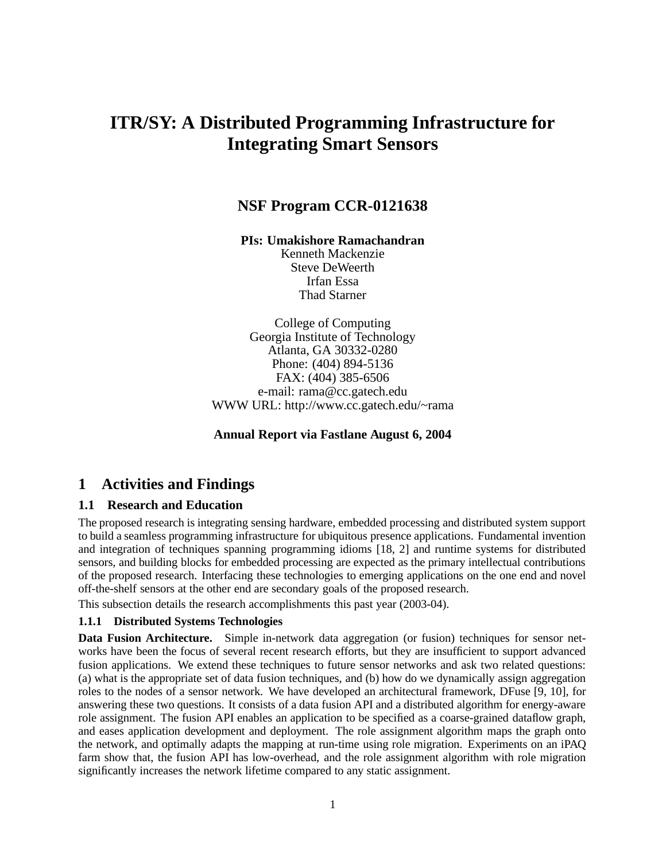# **ITR/SY: A Distributed Programming Infrastructure for Integrating Smart Sensors**

## **NSF Program CCR-0121638**

**PIs: Umakishore Ramachandran**

Kenneth Mackenzie Steve DeWeerth Irfan Essa Thad Starner

College of Computing Georgia Institute of Technology Atlanta, GA 30332-0280 Phone: (404) 894-5136 FAX: (404) 385-6506 e-mail: rama@cc.gatech.edu WWW URL: http://www.cc.gatech.edu/~rama

**Annual Report via Fastlane August 6, 2004**

## **1 Activities and Findings**

#### **1.1 Research and Education**

The proposed research is integrating sensing hardware, embedded processing and distributed system support to build a seamless programming infrastructure for ubiquitous presence applications. Fundamental invention and integration of techniques spanning programming idioms [18, 2] and runtime systems for distributed sensors, and building blocks for embedded processing are expected as the primary intellectual contributions of the proposed research. Interfacing these technologies to emerging applications on the one end and novel off-the-shelf sensors at the other end are secondary goals of the proposed research.

This subsection details the research accomplishments this past year (2003-04).

#### **1.1.1 Distributed Systems Technologies**

**Data Fusion Architecture.** Simple in-network data aggregation (or fusion) techniques for sensor networks have been the focus of several recent research efforts, but they are insufficient to support advanced fusion applications. We extend these techniques to future sensor networks and ask two related questions: (a) what is the appropriate set of data fusion techniques, and (b) how do we dynamically assign aggregation roles to the nodes of a sensor network. We have developed an architectural framework, DFuse [9, 10], for answering these two questions. It consists of a data fusion API and a distributed algorithm for energy-aware role assignment. The fusion API enables an application to be specified as a coarse-grained dataflow graph, and eases application development and deployment. The role assignment algorithm maps the graph onto the network, and optimally adapts the mapping at run-time using role migration. Experiments on an iPAQ farm show that, the fusion API has low-overhead, and the role assignment algorithm with role migration significantly increases the network lifetime compared to any static assignment.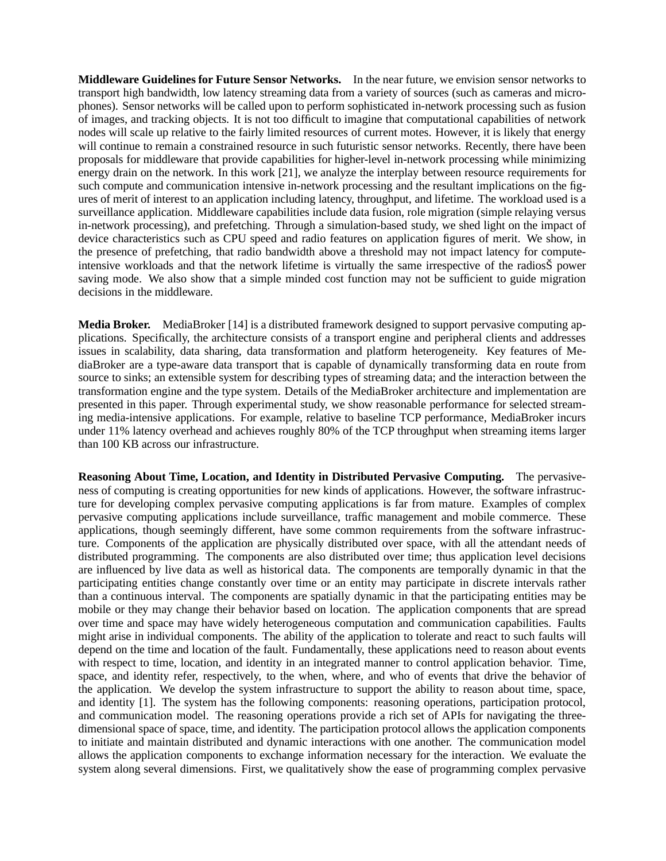**Middleware Guidelines for Future Sensor Networks.** In the near future, we envision sensor networks to transport high bandwidth, low latency streaming data from a variety of sources (such as cameras and microphones). Sensor networks will be called upon to perform sophisticated in-network processing such as fusion of images, and tracking objects. It is not too difficult to imagine that computational capabilities of network nodes will scale up relative to the fairly limited resources of current motes. However, it is likely that energy will continue to remain a constrained resource in such futuristic sensor networks. Recently, there have been proposals for middleware that provide capabilities for higher-level in-network processing while minimizing energy drain on the network. In this work [21], we analyze the interplay between resource requirements for such compute and communication intensive in-network processing and the resultant implications on the figures of merit of interest to an application including latency, throughput, and lifetime. The workload used is a surveillance application. Middleware capabilities include data fusion, role migration (simple relaying versus in-network processing), and prefetching. Through a simulation-based study, we shed light on the impact of device characteristics such as CPU speed and radio features on application figures of merit. We show, in the presence of prefetching, that radio bandwidth above a threshold may not impact latency for computeintensive workloads and that the network lifetime is virtually the same irrespective of the radiosŠ power saving mode. We also show that a simple minded cost function may not be sufficient to guide migration decisions in the middleware.

**Media Broker.** MediaBroker [14] is a distributed framework designed to support pervasive computing applications. Specifically, the architecture consists of a transport engine and peripheral clients and addresses issues in scalability, data sharing, data transformation and platform heterogeneity. Key features of MediaBroker are a type-aware data transport that is capable of dynamically transforming data en route from source to sinks; an extensible system for describing types of streaming data; and the interaction between the transformation engine and the type system. Details of the MediaBroker architecture and implementation are presented in this paper. Through experimental study, we show reasonable performance for selected streaming media-intensive applications. For example, relative to baseline TCP performance, MediaBroker incurs under 11% latency overhead and achieves roughly 80% of the TCP throughput when streaming items larger than 100 KB across our infrastructure.

**Reasoning About Time, Location, and Identity in Distributed Pervasive Computing.** The pervasiveness of computing is creating opportunities for new kinds of applications. However, the software infrastructure for developing complex pervasive computing applications is far from mature. Examples of complex pervasive computing applications include surveillance, traffic management and mobile commerce. These applications, though seemingly different, have some common requirements from the software infrastructure. Components of the application are physically distributed over space, with all the attendant needs of distributed programming. The components are also distributed over time; thus application level decisions are influenced by live data as well as historical data. The components are temporally dynamic in that the participating entities change constantly over time or an entity may participate in discrete intervals rather than a continuous interval. The components are spatially dynamic in that the participating entities may be mobile or they may change their behavior based on location. The application components that are spread over time and space may have widely heterogeneous computation and communication capabilities. Faults might arise in individual components. The ability of the application to tolerate and react to such faults will depend on the time and location of the fault. Fundamentally, these applications need to reason about events with respect to time, location, and identity in an integrated manner to control application behavior. Time, space, and identity refer, respectively, to the when, where, and who of events that drive the behavior of the application. We develop the system infrastructure to support the ability to reason about time, space, and identity [1]. The system has the following components: reasoning operations, participation protocol, and communication model. The reasoning operations provide a rich set of APIs for navigating the threedimensional space of space, time, and identity. The participation protocol allows the application components to initiate and maintain distributed and dynamic interactions with one another. The communication model allows the application components to exchange information necessary for the interaction. We evaluate the system along several dimensions. First, we qualitatively show the ease of programming complex pervasive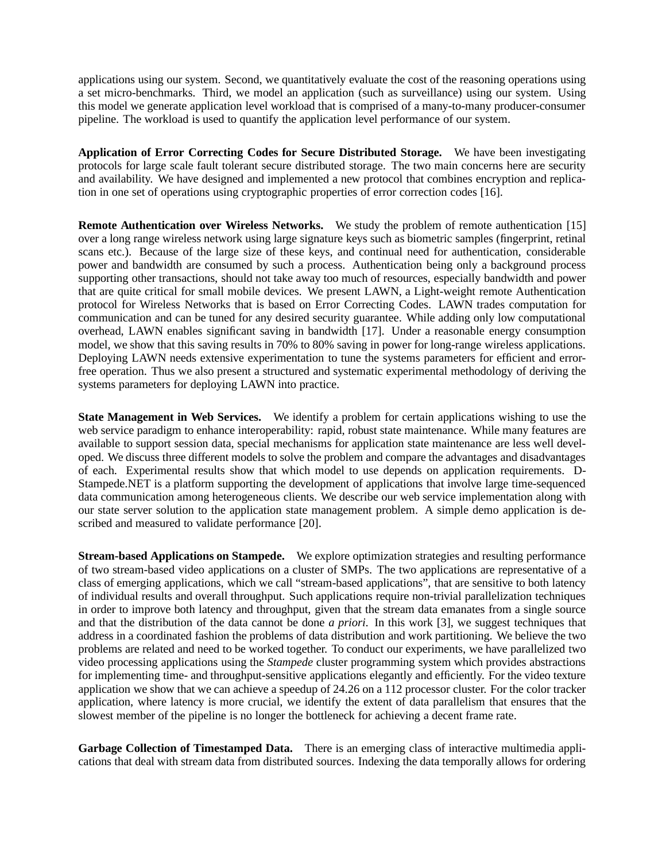applications using our system. Second, we quantitatively evaluate the cost of the reasoning operations using a set micro-benchmarks. Third, we model an application (such as surveillance) using our system. Using this model we generate application level workload that is comprised of a many-to-many producer-consumer pipeline. The workload is used to quantify the application level performance of our system.

**Application of Error Correcting Codes for Secure Distributed Storage.** We have been investigating protocols for large scale fault tolerant secure distributed storage. The two main concerns here are security and availability. We have designed and implemented a new protocol that combines encryption and replication in one set of operations using cryptographic properties of error correction codes [16].

**Remote Authentication over Wireless Networks.** We study the problem of remote authentication [15] over a long range wireless network using large signature keys such as biometric samples (fingerprint, retinal scans etc.). Because of the large size of these keys, and continual need for authentication, considerable power and bandwidth are consumed by such a process. Authentication being only a background process supporting other transactions, should not take away too much of resources, especially bandwidth and power that are quite critical for small mobile devices. We present LAWN, a Light-weight remote Authentication protocol for Wireless Networks that is based on Error Correcting Codes. LAWN trades computation for communication and can be tuned for any desired security guarantee. While adding only low computational overhead, LAWN enables significant saving in bandwidth [17]. Under a reasonable energy consumption model, we show that this saving results in 70% to 80% saving in power for long-range wireless applications. Deploying LAWN needs extensive experimentation to tune the systems parameters for efficient and errorfree operation. Thus we also present a structured and systematic experimental methodology of deriving the systems parameters for deploying LAWN into practice.

**State Management in Web Services.** We identify a problem for certain applications wishing to use the web service paradigm to enhance interoperability: rapid, robust state maintenance. While many features are available to support session data, special mechanisms for application state maintenance are less well developed. We discuss three different models to solve the problem and compare the advantages and disadvantages of each. Experimental results show that which model to use depends on application requirements. D-Stampede.NET is a platform supporting the development of applications that involve large time-sequenced data communication among heterogeneous clients. We describe our web service implementation along with our state server solution to the application state management problem. A simple demo application is described and measured to validate performance [20].

**Stream-based Applications on Stampede.** We explore optimization strategies and resulting performance of two stream-based video applications on a cluster of SMPs. The two applications are representative of a class of emerging applications, which we call "stream-based applications", that are sensitive to both latency of individual results and overall throughput. Such applications require non-trivial parallelization techniques in order to improve both latency and throughput, given that the stream data emanates from a single source and that the distribution of the data cannot be done *a priori*. In this work [3], we suggest techniques that address in a coordinated fashion the problems of data distribution and work partitioning. We believe the two problems are related and need to be worked together. To conduct our experiments, we have parallelized two video processing applications using the *Stampede* cluster programming system which provides abstractions for implementing time- and throughput-sensitive applications elegantly and efficiently. For the video texture application we show that we can achieve a speedup of 24.26 on a 112 processor cluster. For the color tracker application, where latency is more crucial, we identify the extent of data parallelism that ensures that the slowest member of the pipeline is no longer the bottleneck for achieving a decent frame rate.

**Garbage Collection of Timestamped Data.** There is an emerging class of interactive multimedia applications that deal with stream data from distributed sources. Indexing the data temporally allows for ordering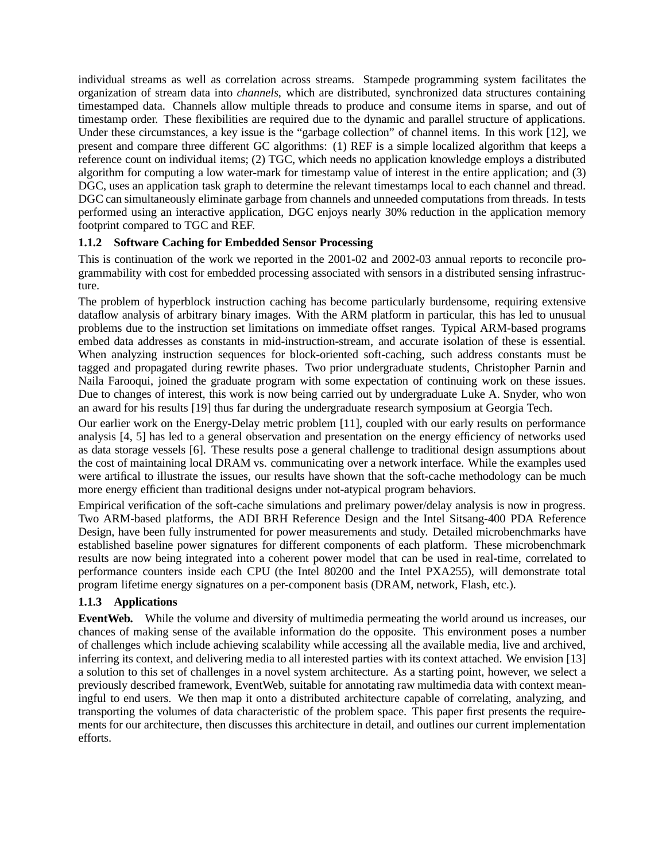individual streams as well as correlation across streams. Stampede programming system facilitates the organization of stream data into *channels*, which are distributed, synchronized data structures containing timestamped data. Channels allow multiple threads to produce and consume items in sparse, and out of timestamp order. These flexibilities are required due to the dynamic and parallel structure of applications. Under these circumstances, a key issue is the "garbage collection" of channel items. In this work [12], we present and compare three different GC algorithms: (1) REF is a simple localized algorithm that keeps a reference count on individual items; (2) TGC, which needs no application knowledge employs a distributed algorithm for computing a low water-mark for timestamp value of interest in the entire application; and (3) DGC, uses an application task graph to determine the relevant timestamps local to each channel and thread. DGC can simultaneously eliminate garbage from channels and unneeded computations from threads. In tests performed using an interactive application, DGC enjoys nearly 30% reduction in the application memory footprint compared to TGC and REF.

#### **1.1.2 Software Caching for Embedded Sensor Processing**

This is continuation of the work we reported in the 2001-02 and 2002-03 annual reports to reconcile programmability with cost for embedded processing associated with sensors in a distributed sensing infrastructure.

The problem of hyperblock instruction caching has become particularly burdensome, requiring extensive dataflow analysis of arbitrary binary images. With the ARM platform in particular, this has led to unusual problems due to the instruction set limitations on immediate offset ranges. Typical ARM-based programs embed data addresses as constants in mid-instruction-stream, and accurate isolation of these is essential. When analyzing instruction sequences for block-oriented soft-caching, such address constants must be tagged and propagated during rewrite phases. Two prior undergraduate students, Christopher Parnin and Naila Farooqui, joined the graduate program with some expectation of continuing work on these issues. Due to changes of interest, this work is now being carried out by undergraduate Luke A. Snyder, who won an award for his results [19] thus far during the undergraduate research symposium at Georgia Tech.

Our earlier work on the Energy-Delay metric problem [11], coupled with our early results on performance analysis [4, 5] has led to a general observation and presentation on the energy efficiency of networks used as data storage vessels [6]. These results pose a general challenge to traditional design assumptions about the cost of maintaining local DRAM vs. communicating over a network interface. While the examples used were artifical to illustrate the issues, our results have shown that the soft-cache methodology can be much more energy efficient than traditional designs under not-atypical program behaviors.

Empirical verification of the soft-cache simulations and prelimary power/delay analysis is now in progress. Two ARM-based platforms, the ADI BRH Reference Design and the Intel Sitsang-400 PDA Reference Design, have been fully instrumented for power measurements and study. Detailed microbenchmarks have established baseline power signatures for different components of each platform. These microbenchmark results are now being integrated into a coherent power model that can be used in real-time, correlated to performance counters inside each CPU (the Intel 80200 and the Intel PXA255), will demonstrate total program lifetime energy signatures on a per-component basis (DRAM, network, Flash, etc.).

### **1.1.3 Applications**

**EventWeb.** While the volume and diversity of multimedia permeating the world around us increases, our chances of making sense of the available information do the opposite. This environment poses a number of challenges which include achieving scalability while accessing all the available media, live and archived, inferring its context, and delivering media to all interested parties with its context attached. We envision [13] a solution to this set of challenges in a novel system architecture. As a starting point, however, we select a previously described framework, EventWeb, suitable for annotating raw multimedia data with context meaningful to end users. We then map it onto a distributed architecture capable of correlating, analyzing, and transporting the volumes of data characteristic of the problem space. This paper first presents the requirements for our architecture, then discusses this architecture in detail, and outlines our current implementation efforts.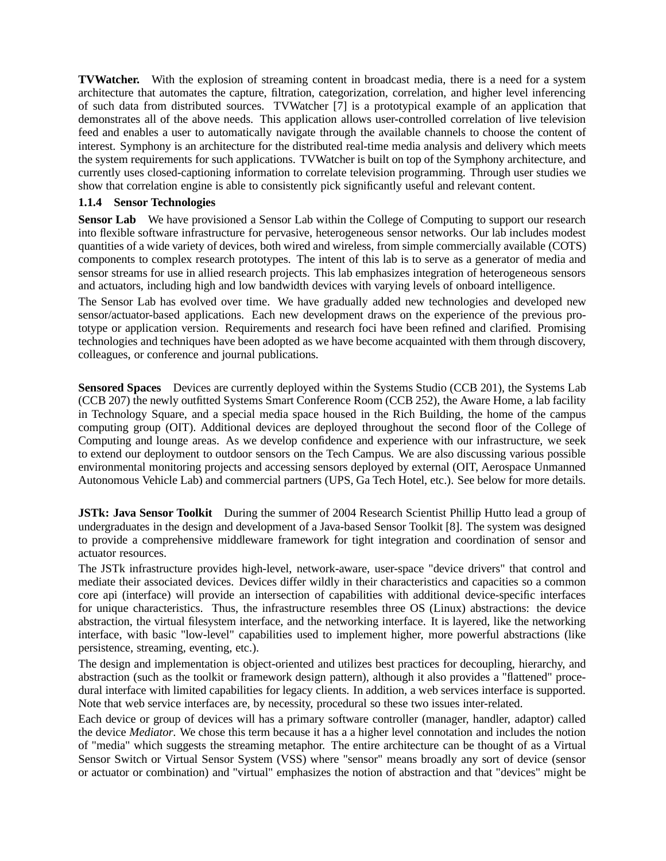**TVWatcher.** With the explosion of streaming content in broadcast media, there is a need for a system architecture that automates the capture, filtration, categorization, correlation, and higher level inferencing of such data from distributed sources. TVWatcher [7] is a prototypical example of an application that demonstrates all of the above needs. This application allows user-controlled correlation of live television feed and enables a user to automatically navigate through the available channels to choose the content of interest. Symphony is an architecture for the distributed real-time media analysis and delivery which meets the system requirements for such applications. TVWatcher is built on top of the Symphony architecture, and currently uses closed-captioning information to correlate television programming. Through user studies we show that correlation engine is able to consistently pick significantly useful and relevant content.

#### **1.1.4 Sensor Technologies**

**Sensor Lab** We have provisioned a Sensor Lab within the College of Computing to support our research into flexible software infrastructure for pervasive, heterogeneous sensor networks. Our lab includes modest quantities of a wide variety of devices, both wired and wireless, from simple commercially available (COTS) components to complex research prototypes. The intent of this lab is to serve as a generator of media and sensor streams for use in allied research projects. This lab emphasizes integration of heterogeneous sensors and actuators, including high and low bandwidth devices with varying levels of onboard intelligence.

The Sensor Lab has evolved over time. We have gradually added new technologies and developed new sensor/actuator-based applications. Each new development draws on the experience of the previous prototype or application version. Requirements and research foci have been refined and clarified. Promising technologies and techniques have been adopted as we have become acquainted with them through discovery, colleagues, or conference and journal publications.

**Sensored Spaces** Devices are currently deployed within the Systems Studio (CCB 201), the Systems Lab (CCB 207) the newly outfitted Systems Smart Conference Room (CCB 252), the Aware Home, a lab facility in Technology Square, and a special media space housed in the Rich Building, the home of the campus computing group (OIT). Additional devices are deployed throughout the second floor of the College of Computing and lounge areas. As we develop confidence and experience with our infrastructure, we seek to extend our deployment to outdoor sensors on the Tech Campus. We are also discussing various possible environmental monitoring projects and accessing sensors deployed by external (OIT, Aerospace Unmanned Autonomous Vehicle Lab) and commercial partners (UPS, Ga Tech Hotel, etc.). See below for more details.

**JSTk: Java Sensor Toolkit** During the summer of 2004 Research Scientist Phillip Hutto lead a group of undergraduates in the design and development of a Java-based Sensor Toolkit [8]. The system was designed to provide a comprehensive middleware framework for tight integration and coordination of sensor and actuator resources.

The JSTk infrastructure provides high-level, network-aware, user-space "device drivers" that control and mediate their associated devices. Devices differ wildly in their characteristics and capacities so a common core api (interface) will provide an intersection of capabilities with additional device-specific interfaces for unique characteristics. Thus, the infrastructure resembles three OS (Linux) abstractions: the device abstraction, the virtual filesystem interface, and the networking interface. It is layered, like the networking interface, with basic "low-level" capabilities used to implement higher, more powerful abstractions (like persistence, streaming, eventing, etc.).

The design and implementation is object-oriented and utilizes best practices for decoupling, hierarchy, and abstraction (such as the toolkit or framework design pattern), although it also provides a "flattened" procedural interface with limited capabilities for legacy clients. In addition, a web services interface is supported. Note that web service interfaces are, by necessity, procedural so these two issues inter-related.

Each device or group of devices will has a primary software controller (manager, handler, adaptor) called the device *Mediator*. We chose this term because it has a a higher level connotation and includes the notion of "media" which suggests the streaming metaphor. The entire architecture can be thought of as a Virtual Sensor Switch or Virtual Sensor System (VSS) where "sensor" means broadly any sort of device (sensor or actuator or combination) and "virtual" emphasizes the notion of abstraction and that "devices" might be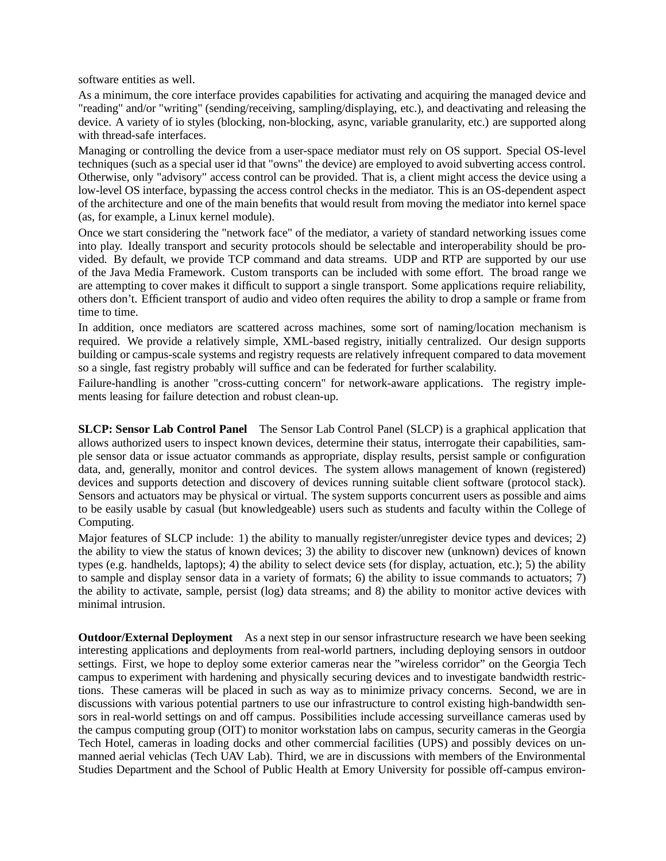software entities as well.

As a minimum, the core interface provides capabilities for activating and acquiring the managed device and "reading" and/or "writing" (sending/receiving, sampling/displaying, etc.), and deactivating and releasing the device. A variety of io styles (blocking, non-blocking, async, variable granularity, etc.) are supported along with thread-safe interfaces.

Managing or controlling the device from a user-space mediator must rely on OS support. Special OS-level techniques (such as a special user id that "owns" the device) are employed to avoid subverting access control. Otherwise, only "advisory" access control can be provided. That is, a client might access the device using a low-level OS interface, bypassing the access control checks in the mediator. This is an OS-dependent aspect of the architecture and one of the main benefits that would result from moving the mediator into kernel space (as, for example, a Linux kernel module).

Once we start considering the "network face" of the mediator, a variety of standard networking issues come into play. Ideally transport and security protocols should be selectable and interoperability should be provided. By default, we provide TCP command and data streams. UDP and RTP are supported by our use of the Java Media Framework. Custom transports can be included with some effort. The broad range we are attempting to cover makes it difficult to support a single transport. Some applications require reliability, others don't. Efficient transport of audio and video often requires the ability to drop a sample or frame from time to time.

In addition, once mediators are scattered across machines, some sort of naming/location mechanism is required. We provide a relatively simple, XML-based registry, initially centralized. Our design supports building or campus-scale systems and registry requests are relatively infrequent compared to data movement so a single, fast registry probably will suffice and can be federated for further scalability.

Failure-handling is another "cross-cutting concern" for network-aware applications. The registry implements leasing for failure detection and robust clean-up.

**SLCP: Sensor Lab Control Panel** The Sensor Lab Control Panel (SLCP) is a graphical application that allows authorized users to inspect known devices, determine their status, interrogate their capabilities, sample sensor data or issue actuator commands as appropriate, display results, persist sample or configuration data, and, generally, monitor and control devices. The system allows management of known (registered) devices and supports detection and discovery of devices running suitable client software (protocol stack). Sensors and actuators may be physical or virtual. The system supports concurrent users as possible and aims to be easily usable by casual (but knowledgeable) users such as students and faculty within the College of Computing.

Major features of SLCP include: 1) the ability to manually register/unregister device types and devices; 2) the ability to view the status of known devices; 3) the ability to discover new (unknown) devices of known types (e.g. handhelds, laptops); 4) the ability to select device sets (for display, actuation, etc.); 5) the ability to sample and display sensor data in a variety of formats; 6) the ability to issue commands to actuators; 7) the ability to activate, sample, persist (log) data streams; and 8) the ability to monitor active devices with minimal intrusion.

**Outdoor/External Deployment** As a next step in our sensor infrastructure research we have been seeking interesting applications and deployments from real-world partners, including deploying sensors in outdoor settings. First, we hope to deploy some exterior cameras near the "wireless corridor" on the Georgia Tech campus to experiment with hardening and physically securing devices and to investigate bandwidth restrictions. These cameras will be placed in such as way as to minimize privacy concerns. Second, we are in discussions with various potential partners to use our infrastructure to control existing high-bandwidth sensors in real-world settings on and off campus. Possibilities include accessing surveillance cameras used by the campus computing group (OIT) to monitor workstation labs on campus, security cameras in the Georgia Tech Hotel, cameras in loading docks and other commercial facilities (UPS) and possibly devices on unmanned aerial vehiclas (Tech UAV Lab). Third, we are in discussions with members of the Environmental Studies Department and the School of Public Health at Emory University for possible off-campus environ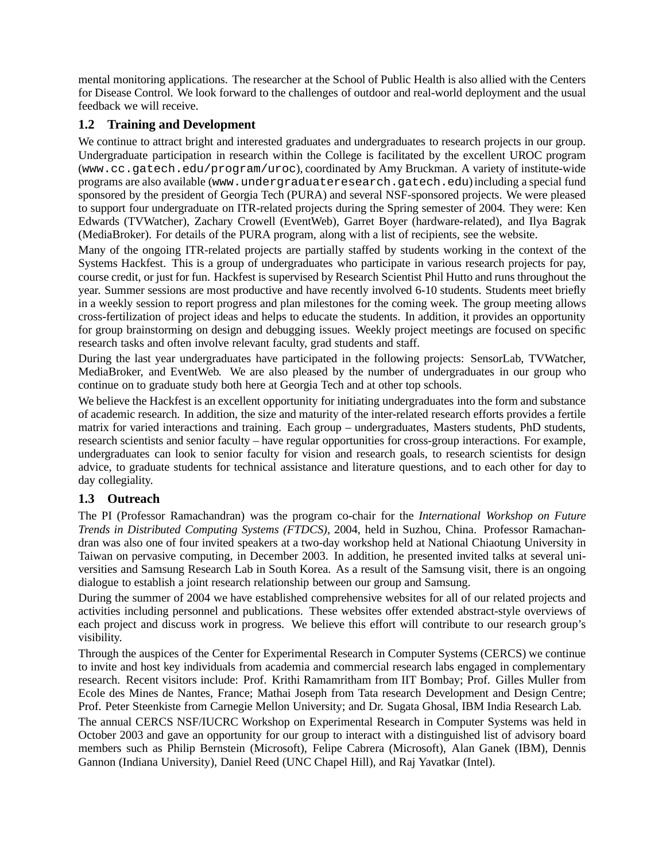mental monitoring applications. The researcher at the School of Public Health is also allied with the Centers for Disease Control. We look forward to the challenges of outdoor and real-world deployment and the usual feedback we will receive.

### **1.2 Training and Development**

We continue to attract bright and interested graduates and undergraduates to research projects in our group. Undergraduate participation in research within the College is facilitated by the excellent UROC program (www.cc.gatech.edu/program/uroc), coordinated by Amy Bruckman. A variety of institute-wide programs are also available (www.undergraduateresearch.gatech.edu)including a special fund sponsored by the president of Georgia Tech (PURA) and several NSF-sponsored projects. We were pleased to support four undergraduate on ITR-related projects during the Spring semester of 2004. They were: Ken Edwards (TVWatcher), Zachary Crowell (EventWeb), Garret Boyer (hardware-related), and Ilya Bagrak (MediaBroker). For details of the PURA program, along with a list of recipients, see the website.

Many of the ongoing ITR-related projects are partially staffed by students working in the context of the Systems Hackfest. This is a group of undergraduates who participate in various research projects for pay, course credit, or just for fun. Hackfest is supervised by Research Scientist Phil Hutto and runs throughout the year. Summer sessions are most productive and have recently involved 6-10 students. Students meet briefly in a weekly session to report progress and plan milestones for the coming week. The group meeting allows cross-fertilization of project ideas and helps to educate the students. In addition, it provides an opportunity for group brainstorming on design and debugging issues. Weekly project meetings are focused on specific research tasks and often involve relevant faculty, grad students and staff.

During the last year undergraduates have participated in the following projects: SensorLab, TVWatcher, MediaBroker, and EventWeb. We are also pleased by the number of undergraduates in our group who continue on to graduate study both here at Georgia Tech and at other top schools.

We believe the Hackfest is an excellent opportunity for initiating undergraduates into the form and substance of academic research. In addition, the size and maturity of the inter-related research efforts provides a fertile matrix for varied interactions and training. Each group – undergraduates, Masters students, PhD students, research scientists and senior faculty – have regular opportunities for cross-group interactions. For example, undergraduates can look to senior faculty for vision and research goals, to research scientists for design advice, to graduate students for technical assistance and literature questions, and to each other for day to day collegiality.

### **1.3 Outreach**

The PI (Professor Ramachandran) was the program co-chair for the *International Workshop on Future Trends in Distributed Computing Systems (FTDCS)*, 2004, held in Suzhou, China. Professor Ramachandran was also one of four invited speakers at a two-day workshop held at National Chiaotung University in Taiwan on pervasive computing, in December 2003. In addition, he presented invited talks at several universities and Samsung Research Lab in South Korea. As a result of the Samsung visit, there is an ongoing dialogue to establish a joint research relationship between our group and Samsung.

During the summer of 2004 we have established comprehensive websites for all of our related projects and activities including personnel and publications. These websites offer extended abstract-style overviews of each project and discuss work in progress. We believe this effort will contribute to our research group's visibility.

Through the auspices of the Center for Experimental Research in Computer Systems (CERCS) we continue to invite and host key individuals from academia and commercial research labs engaged in complementary research. Recent visitors include: Prof. Krithi Ramamritham from IIT Bombay; Prof. Gilles Muller from Ecole des Mines de Nantes, France; Mathai Joseph from Tata research Development and Design Centre; Prof. Peter Steenkiste from Carnegie Mellon University; and Dr. Sugata Ghosal, IBM India Research Lab.

The annual CERCS NSF/IUCRC Workshop on Experimental Research in Computer Systems was held in October 2003 and gave an opportunity for our group to interact with a distinguished list of advisory board members such as Philip Bernstein (Microsoft), Felipe Cabrera (Microsoft), Alan Ganek (IBM), Dennis Gannon (Indiana University), Daniel Reed (UNC Chapel Hill), and Raj Yavatkar (Intel).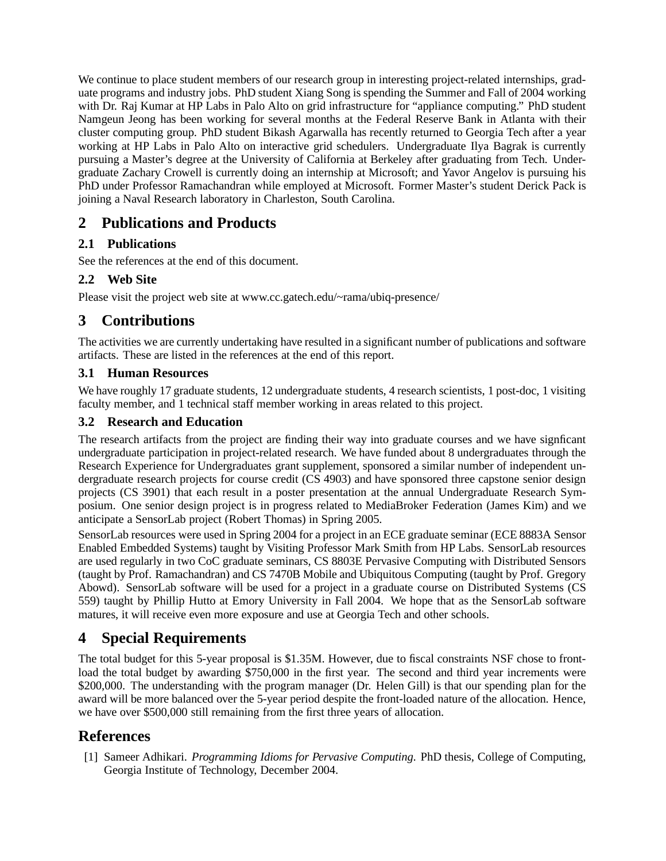We continue to place student members of our research group in interesting project-related internships, graduate programs and industry jobs. PhD student Xiang Song is spending the Summer and Fall of 2004 working with Dr. Raj Kumar at HP Labs in Palo Alto on grid infrastructure for "appliance computing." PhD student Namgeun Jeong has been working for several months at the Federal Reserve Bank in Atlanta with their cluster computing group. PhD student Bikash Agarwalla has recently returned to Georgia Tech after a year working at HP Labs in Palo Alto on interactive grid schedulers. Undergraduate Ilya Bagrak is currently pursuing a Master's degree at the University of California at Berkeley after graduating from Tech. Undergraduate Zachary Crowell is currently doing an internship at Microsoft; and Yavor Angelov is pursuing his PhD under Professor Ramachandran while employed at Microsoft. Former Master's student Derick Pack is joining a Naval Research laboratory in Charleston, South Carolina.

# **2 Publications and Products**

## **2.1 Publications**

See the references at the end of this document.

## **2.2 Web Site**

Please visit the project web site at www.cc.gatech.edu/~rama/ubiq-presence/

## **3 Contributions**

The activities we are currently undertaking have resulted in a significant number of publications and software artifacts. These are listed in the references at the end of this report.

## **3.1 Human Resources**

We have roughly 17 graduate students, 12 undergraduate students, 4 research scientists, 1 post-doc, 1 visiting faculty member, and 1 technical staff member working in areas related to this project.

## **3.2 Research and Education**

The research artifacts from the project are finding their way into graduate courses and we have signficant undergraduate participation in project-related research. We have funded about 8 undergraduates through the Research Experience for Undergraduates grant supplement, sponsored a similar number of independent undergraduate research projects for course credit (CS 4903) and have sponsored three capstone senior design projects (CS 3901) that each result in a poster presentation at the annual Undergraduate Research Symposium. One senior design project is in progress related to MediaBroker Federation (James Kim) and we anticipate a SensorLab project (Robert Thomas) in Spring 2005.

SensorLab resources were used in Spring 2004 for a project in an ECE graduate seminar (ECE 8883A Sensor Enabled Embedded Systems) taught by Visiting Professor Mark Smith from HP Labs. SensorLab resources are used regularly in two CoC graduate seminars, CS 8803E Pervasive Computing with Distributed Sensors (taught by Prof. Ramachandran) and CS 7470B Mobile and Ubiquitous Computing (taught by Prof. Gregory Abowd). SensorLab software will be used for a project in a graduate course on Distributed Systems (CS 559) taught by Phillip Hutto at Emory University in Fall 2004. We hope that as the SensorLab software matures, it will receive even more exposure and use at Georgia Tech and other schools.

# **4 Special Requirements**

The total budget for this 5-year proposal is \$1.35M. However, due to fiscal constraints NSF chose to frontload the total budget by awarding \$750,000 in the first year. The second and third year increments were \$200,000. The understanding with the program manager (Dr. Helen Gill) is that our spending plan for the award will be more balanced over the 5-year period despite the front-loaded nature of the allocation. Hence, we have over \$500,000 still remaining from the first three years of allocation.

## **References**

[1] Sameer Adhikari. *Programming Idioms for Pervasive Computing*. PhD thesis, College of Computing, Georgia Institute of Technology, December 2004.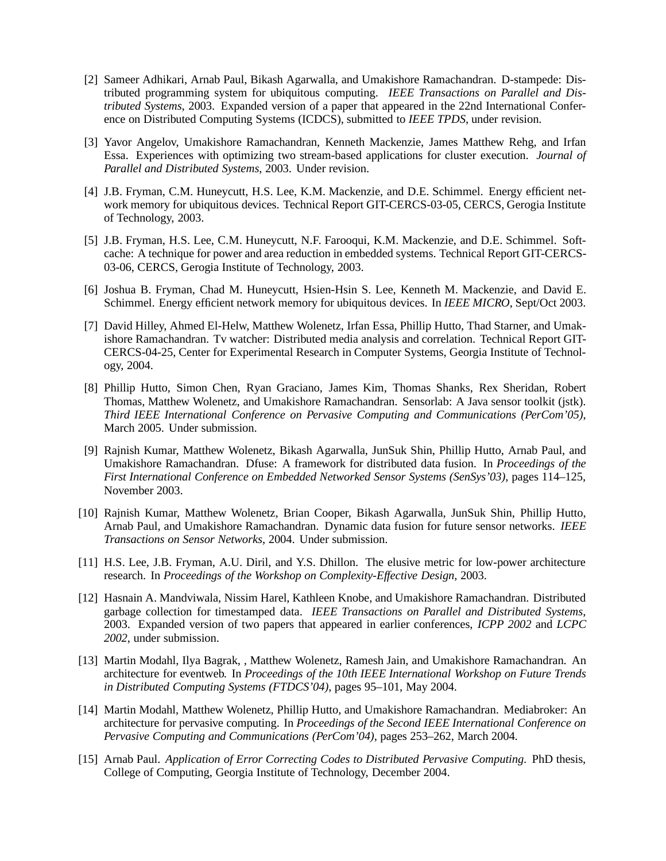- [2] Sameer Adhikari, Arnab Paul, Bikash Agarwalla, and Umakishore Ramachandran. D-stampede: Distributed programming system for ubiquitous computing. *IEEE Transactions on Parallel and Distributed Systems*, 2003. Expanded version of a paper that appeared in the 22nd International Conference on Distributed Computing Systems (ICDCS), submitted to *IEEE TPDS*, under revision.
- [3] Yavor Angelov, Umakishore Ramachandran, Kenneth Mackenzie, James Matthew Rehg, and Irfan Essa. Experiences with optimizing two stream-based applications for cluster execution. *Journal of Parallel and Distributed Systems*, 2003. Under revision.
- [4] J.B. Fryman, C.M. Huneycutt, H.S. Lee, K.M. Mackenzie, and D.E. Schimmel. Energy efficient network memory for ubiquitous devices. Technical Report GIT-CERCS-03-05, CERCS, Gerogia Institute of Technology, 2003.
- [5] J.B. Fryman, H.S. Lee, C.M. Huneycutt, N.F. Farooqui, K.M. Mackenzie, and D.E. Schimmel. Softcache: A technique for power and area reduction in embedded systems. Technical Report GIT-CERCS-03-06, CERCS, Gerogia Institute of Technology, 2003.
- [6] Joshua B. Fryman, Chad M. Huneycutt, Hsien-Hsin S. Lee, Kenneth M. Mackenzie, and David E. Schimmel. Energy efficient network memory for ubiquitous devices. In *IEEE MICRO*, Sept/Oct 2003.
- [7] David Hilley, Ahmed El-Helw, Matthew Wolenetz, Irfan Essa, Phillip Hutto, Thad Starner, and Umakishore Ramachandran. Tv watcher: Distributed media analysis and correlation. Technical Report GIT-CERCS-04-25, Center for Experimental Research in Computer Systems, Georgia Institute of Technology, 2004.
- [8] Phillip Hutto, Simon Chen, Ryan Graciano, James Kim, Thomas Shanks, Rex Sheridan, Robert Thomas, Matthew Wolenetz, and Umakishore Ramachandran. Sensorlab: A Java sensor toolkit (jstk). *Third IEEE International Conference on Pervasive Computing and Communications (PerCom'05)*, March 2005. Under submission.
- [9] Rajnish Kumar, Matthew Wolenetz, Bikash Agarwalla, JunSuk Shin, Phillip Hutto, Arnab Paul, and Umakishore Ramachandran. Dfuse: A framework for distributed data fusion. In *Proceedings of the First International Conference on Embedded Networked Sensor Systems (SenSys'03)*, pages 114–125, November 2003.
- [10] Rajnish Kumar, Matthew Wolenetz, Brian Cooper, Bikash Agarwalla, JunSuk Shin, Phillip Hutto, Arnab Paul, and Umakishore Ramachandran. Dynamic data fusion for future sensor networks. *IEEE Transactions on Sensor Networks*, 2004. Under submission.
- [11] H.S. Lee, J.B. Fryman, A.U. Diril, and Y.S. Dhillon. The elusive metric for low-power architecture research. In *Proceedings of the Workshop on Complexity-Effective Design*, 2003.
- [12] Hasnain A. Mandviwala, Nissim Harel, Kathleen Knobe, and Umakishore Ramachandran. Distributed garbage collection for timestamped data. *IEEE Transactions on Parallel and Distributed Systems*, 2003. Expanded version of two papers that appeared in earlier conferences, *ICPP 2002* and *LCPC 2002*, under submission.
- [13] Martin Modahl, Ilya Bagrak, , Matthew Wolenetz, Ramesh Jain, and Umakishore Ramachandran. An architecture for eventweb. In *Proceedings of the 10th IEEE International Workshop on Future Trends in Distributed Computing Systems (FTDCS'04)*, pages 95–101, May 2004.
- [14] Martin Modahl, Matthew Wolenetz, Phillip Hutto, and Umakishore Ramachandran. Mediabroker: An architecture for pervasive computing. In *Proceedings of the Second IEEE International Conference on Pervasive Computing and Communications (PerCom'04)*, pages 253–262, March 2004.
- [15] Arnab Paul. *Application of Error Correcting Codes to Distributed Pervasive Computing*. PhD thesis, College of Computing, Georgia Institute of Technology, December 2004.